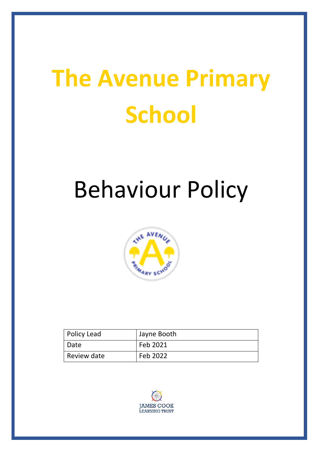# **The Avenue Primary School**

# Behaviour Policy



| Policy Lead | Jayne Booth |
|-------------|-------------|
| Date        | Feb 2021    |
| Review date | Feb 2022    |

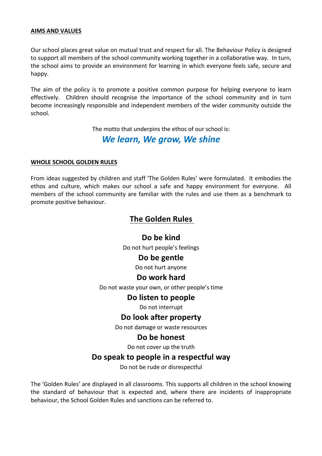#### **AIMS AND VALUES**

Our school places great value on mutual trust and respect for all. The Behaviour Policy is designed to support all members of the school community working together in a collaborative way. In turn, the school aims to provide an environment for learning in which everyone feels safe, secure and happy.

The aim of the policy is to promote a positive common purpose for helping everyone to learn effectively. Children should recognise the importance of the school community and in turn become increasingly responsible and independent members of the wider community outside the school.

The motto that underpins the ethos of our school is:

# *We learn, We grow, We shine*

#### **WHOLE SCHOOL GOLDEN RULES**

From ideas suggested by children and staff 'The Golden Rules' were formulated. It embodies the ethos and culture, which makes our school a safe and happy environment for everyone. All members of the school community are familiar with the rules and use them as a benchmark to promote positive behaviour.

# **The Golden Rules**

Do be kind Do not hurt people's feelings

# Do be gentle

Do not hurt anyone

# **Do work hard**

Do not waste your own, or other people's time

# **Do listen to people**

Do not interrupt

# **Do look after property**

Do not damage or waste resources

# Do be honest

Do not cover up the truth

# Do speak to people in a respectful way

Do not be rude or disrespectful

The 'Golden Rules' are displayed in all classrooms. This supports all children in the school knowing the standard of behaviour that is expected and, where there are incidents of inappropriate behaviour, the School Golden Rules and sanctions can be referred to.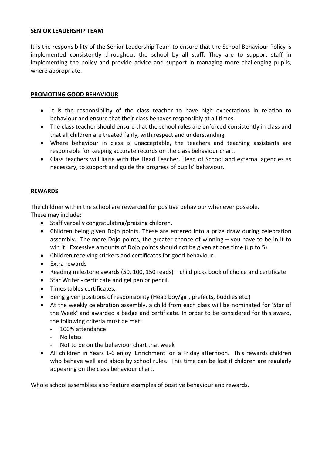#### **SENIOR LEADERSHIP TEAM**

It is the responsibility of the Senior Leadership Team to ensure that the School Behaviour Policy is implemented consistently throughout the school by all staff. They are to support staff in implementing the policy and provide advice and support in managing more challenging pupils, where appropriate.

#### **PROMOTING GOOD BEHAVIOUR**

- It is the responsibility of the class teacher to have high expectations in relation to behaviour and ensure that their class behaves responsibly at all times.
- The class teacher should ensure that the school rules are enforced consistently in class and that all children are treated fairly, with respect and understanding.
- Where behaviour in class is unacceptable, the teachers and teaching assistants are responsible for keeping accurate records on the class behaviour chart.
- Class teachers will liaise with the Head Teacher, Head of School and external agencies as necessary, to support and guide the progress of pupils' behaviour.

#### **REWARDS**

The children within the school are rewarded for positive behaviour whenever possible. These may include:

- $\bullet$  Staff verbally congratulating/praising children.
- Children being given Dojo points. These are entered into a prize draw during celebration assembly. The more Dojo points, the greater chance of winning  $-$  you have to be in it to win it! Excessive amounts of Dojo points should not be given at one time (up to 5).
- Children receiving stickers and certificates for good behaviour.
- Extra rewards
- Reading milestone awards (50, 100, 150 reads) child picks book of choice and certificate
- Star Writer certificate and gel pen or pencil.
- Times tables certificates.
- Being given positions of responsibility (Head boy/girl, prefects, buddies etc.)
- At the weekly celebration assembly, a child from each class will be nominated for 'Star of the Week' and awarded a badge and certificate. In order to be considered for this award. the following criteria must be met:
	- 100% attendance
	- No lates
	- Not to be on the behaviour chart that week
- All children in Years 1-6 enjoy 'Enrichment' on a Friday afternoon. This rewards children who behave well and abide by school rules. This time can be lost if children are regularly appearing on the class behaviour chart.

Whole school assemblies also feature examples of positive behaviour and rewards.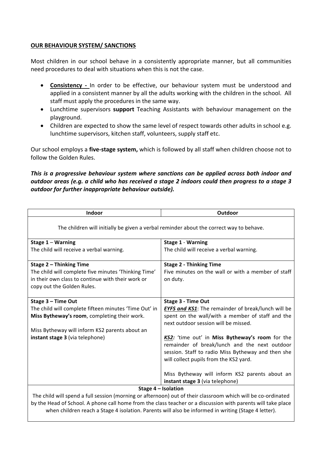#### **OUR BEHAVIOUR SYSTEM/ SANCTIONS**

Most children in our school behave in a consistently appropriate manner, but all communities need procedures to deal with situations when this is not the case.

- **Consistency** In order to be effective, our behaviour system must be understood and applied in a consistent manner by all the adults working with the children in the school. All staff must apply the procedures in the same way.
- Lunchtime supervisors **support** Teaching Assistants with behaviour management on the playground.
- Children are expected to show the same level of respect towards other adults in school e.g. lunchtime supervisors, kitchen staff, volunteers, supply staff etc.

Our school employs a **five-stage system,** which is followed by all staff when children choose not to follow the Golden Rules.

This is a progressive behaviour system where sanctions can be applied across both indoor and *outdoor areas (e.g. a child who has received a stage 2 indoors could then progress to a stage 3 outdoor for further inappropriate behaviour outside).*

| Indoor                                                                                                       | Outdoor                                                                                                                                                                                          |  |
|--------------------------------------------------------------------------------------------------------------|--------------------------------------------------------------------------------------------------------------------------------------------------------------------------------------------------|--|
| The children will initially be given a verbal reminder about the correct way to behave.                      |                                                                                                                                                                                                  |  |
| Stage 1 - Warning                                                                                            | <b>Stage 1 - Warning</b>                                                                                                                                                                         |  |
| The child will receive a verbal warning.                                                                     | The child will receive a verbal warning.                                                                                                                                                         |  |
| Stage 2 - Thinking Time                                                                                      | <b>Stage 2 - Thinking Time</b>                                                                                                                                                                   |  |
| The child will complete five minutes 'Thinking Time'                                                         | Five minutes on the wall or with a member of staff                                                                                                                                               |  |
| in their own class to continue with their work or                                                            | on duty.                                                                                                                                                                                         |  |
| copy out the Golden Rules.                                                                                   |                                                                                                                                                                                                  |  |
|                                                                                                              |                                                                                                                                                                                                  |  |
| Stage 3 - Time Out                                                                                           | <b>Stage 3 - Time Out</b>                                                                                                                                                                        |  |
| The child will complete fifteen minutes 'Time Out' in                                                        | <b>EYFS and KS1:</b> The remainder of break/lunch will be                                                                                                                                        |  |
| Miss Bytheway's room, completing their work.                                                                 | spent on the wall/with a member of staff and the<br>next outdoor session will be missed.                                                                                                         |  |
| Miss Bytheway will inform KS2 parents about an                                                               |                                                                                                                                                                                                  |  |
| instant stage 3 (via telephone)                                                                              | KS2: 'time out' in Miss Bytheway's room for the<br>remainder of break/lunch and the next outdoor<br>session. Staff to radio Miss Bytheway and then she<br>will collect pupils from the KS2 yard. |  |
|                                                                                                              |                                                                                                                                                                                                  |  |
|                                                                                                              | Miss Bytheway will inform KS2 parents about an                                                                                                                                                   |  |
|                                                                                                              | instant stage 3 (via telephone)                                                                                                                                                                  |  |
| Stage 4 - Isolation                                                                                          |                                                                                                                                                                                                  |  |
| The child will spend a full session (morning or afternoon) out of their classroom which will be co-ordinated |                                                                                                                                                                                                  |  |
| by the Head of School. A phone call home from the class teacher or a discussion with parents will take place |                                                                                                                                                                                                  |  |
| when children reach a Stage 4 isolation. Parents will also be informed in writing (Stage 4 letter).          |                                                                                                                                                                                                  |  |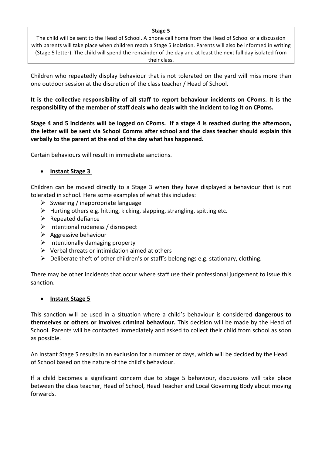#### Stage 5

The child will be sent to the Head of School. A phone call home from the Head of School or a discussion with parents will take place when children reach a Stage 5 isolation. Parents will also be informed in writing (Stage 5 letter). The child will spend the remainder of the day and at least the next full day isolated from their class.

Children who repeatedly display behaviour that is not tolerated on the yard will miss more than one outdoor session at the discretion of the class teacher / Head of School.

It is the collective responsibility of all staff to report behaviour incidents on CPoms. It is the responsibility of the member of staff deals who deals with the incident to log it on CPoms.

Stage 4 and 5 incidents will be logged on CPoms. If a stage 4 is reached during the afternoon, the letter will be sent via School Comms after school and the class teacher should explain this verbally to the parent at the end of the day what has happened.

Certain behaviours will result in immediate sanctions.

#### **Instant Stage 3**

Children can be moved directly to a Stage 3 when they have displayed a behaviour that is not tolerated in school. Here some examples of what this includes:

- $\triangleright$  Swearing / inappropriate language
- $\triangleright$  Hurting others e.g. hitting, kicking, slapping, strangling, spitting etc.
- $\triangleright$  Repeated defiance
- $\triangleright$  Intentional rudeness / disrespect
- $\triangleright$  Aggressive behaviour
- $\triangleright$  Intentionally damaging property
- $\triangleright$  Verbal threats or intimidation aimed at others
- $\triangleright$  Deliberate theft of other children's or staff's belongings e.g. stationary, clothing.

There may be other incidents that occur where staff use their professional judgement to issue this sanction.

#### • **Instant Stage 5**

This sanction will be used in a situation where a child's behaviour is considered **dangerous to** themselves or others or involves criminal behaviour. This decision will be made by the Head of School. Parents will be contacted immediately and asked to collect their child from school as soon as possible.

An Instant Stage 5 results in an exclusion for a number of days, which will be decided by the Head of School based on the nature of the child's behaviour.

If a child becomes a significant concern due to stage 5 behaviour, discussions will take place between the class teacher, Head of School, Head Teacher and Local Governing Body about moving forwards.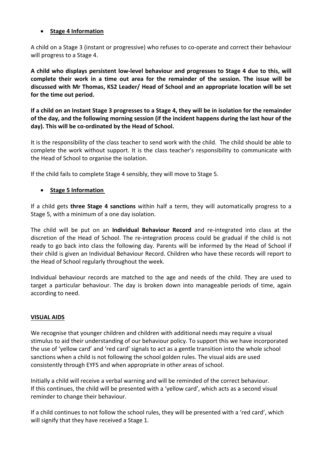#### • **Stage 4 Information**

A child on a Stage 3 (instant or progressive) who refuses to co-operate and correct their behaviour will progress to a Stage 4.

**A child who displays persistent low-level behaviour and progresses to Stage 4 due to this, will complete** their work in a time out area for the remainder of the session. The issue will be discussed with Mr Thomas, KS2 Leader/ Head of School and an appropriate location will be set for the time out period.

**If a child on an Instant Stage 3 progresses to a Stage 4, they will be in isolation for the remainder** of the day, and the following morning session (if the incident happens during the last hour of the day). This will be co-ordinated by the Head of School.

It is the responsibility of the class teacher to send work with the child. The child should be able to complete the work without support. It is the class teacher's responsibility to communicate with the Head of School to organise the isolation.

If the child fails to complete Stage 4 sensibly, they will move to Stage 5.

#### • Stage 5 Information

If a child gets **three Stage 4 sanctions** within half a term, they will automatically progress to a Stage 5, with a minimum of a one day isolation.

The child will be put on an **Individual Behaviour Record** and re-integrated into class at the discretion of the Head of School. The re-integration process could be gradual if the child is not ready to go back into class the following day. Parents will be informed by the Head of School if their child is given an Individual Behaviour Record. Children who have these records will report to the Head of School regularly throughout the week.

Individual behaviour records are matched to the age and needs of the child. They are used to target a particular behaviour. The day is broken down into manageable periods of time, again according to need.

#### **VISUAL AIDS**

We recognise that younger children and children with additional needs may require a visual stimulus to aid their understanding of our behaviour policy. To support this we have incorporated the use of 'yellow card' and 'red card' signals to act as a gentle transition into the whole school sanctions when a child is not following the school golden rules. The visual aids are used consistently through EYFS and when appropriate in other areas of school.

Initially a child will receive a verbal warning and will be reminded of the correct behaviour. If this continues, the child will be presented with a 'yellow card', which acts as a second visual reminder to change their behaviour.

If a child continues to not follow the school rules, they will be presented with a 'red card', which will signify that they have received a Stage 1.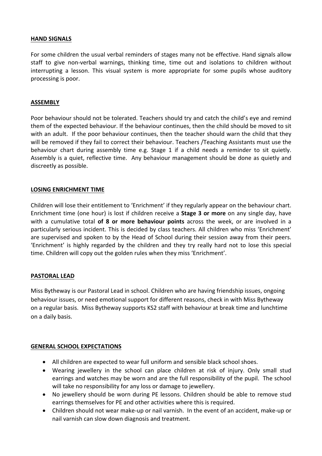#### **HAND SIGNALS**

For some children the usual verbal reminders of stages many not be effective. Hand signals allow staff to give non-verbal warnings, thinking time, time out and isolations to children without interrupting a lesson. This visual system is more appropriate for some pupils whose auditory processing is poor.

#### **ASSEMBLY**

Poor behaviour should not be tolerated. Teachers should try and catch the child's eye and remind them of the expected behaviour. If the behaviour continues, then the child should be moved to sit with an adult. If the poor behaviour continues, then the teacher should warn the child that they will be removed if they fail to correct their behaviour. Teachers /Teaching Assistants must use the behaviour chart during assembly time e.g. Stage 1 if a child needs a reminder to sit quietly. Assembly is a quiet, reflective time. Any behaviour management should be done as quietly and discreetly as possible.

#### LOSING ENRICHMENT TIME

Children will lose their entitlement to 'Enrichment' if they regularly appear on the behaviour chart. Enrichment time (one hour) is lost if children receive a **Stage 3 or more** on any single day, have with a cumulative total of 8 or more behaviour points across the week, or are involved in a particularly serious incident. This is decided by class teachers. All children who miss 'Enrichment' are supervised and spoken to by the Head of School during their session away from their peers. 'Enrichment' is highly regarded by the children and they try really hard not to lose this special time. Children will copy out the golden rules when they miss 'Enrichment'.

#### **PASTORAL LEAD**

Miss Bytheway is our Pastoral Lead in school. Children who are having friendship issues, ongoing behaviour issues, or need emotional support for different reasons, check in with Miss Bytheway on a regular basis. Miss Bytheway supports KS2 staff with behaviour at break time and lunchtime on a daily basis.

#### **GENERAL SCHOOL EXPECTATIONS**

- All children are expected to wear full uniform and sensible black school shoes.
- Wearing jewellery in the school can place children at risk of injury. Only small stud earrings and watches may be worn and are the full responsibility of the pupil. The school will take no responsibility for any loss or damage to jewellery.
- No iewellery should be worn during PE lessons. Children should be able to remove stud earrings themselves for PE and other activities where this is required.
- Children should not wear make-up or nail varnish. In the event of an accident, make-up or nail varnish can slow down diagnosis and treatment.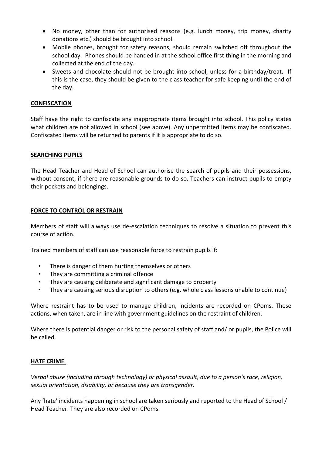- No money, other than for authorised reasons (e.g. lunch money, trip money, charity donations etc.) should be brought into school.
- Mobile phones, brought for safety reasons, should remain switched off throughout the school day. Phones should be handed in at the school office first thing in the morning and collected at the end of the day.
- Sweets and chocolate should not be brought into school, unless for a birthday/treat. If this is the case, they should be given to the class teacher for safe keeping until the end of the day.

#### **CONFISCATION**

Staff have the right to confiscate any inappropriate items brought into school. This policy states what children are not allowed in school (see above). Any unpermitted items may be confiscated. Confiscated items will be returned to parents if it is appropriate to do so.

#### **SEARCHING PUPILS**

The Head Teacher and Head of School can authorise the search of pupils and their possessions, without consent, if there are reasonable grounds to do so. Teachers can instruct pupils to empty their pockets and belongings.

#### **FORCE TO CONTROL OR RESTRAIN**

Members of staff will always use de-escalation techniques to resolve a situation to prevent this course of action.

Trained members of staff can use reasonable force to restrain pupils if:

- There is danger of them hurting themselves or others
- They are committing a criminal offence
- They are causing deliberate and significant damage to property
- They are causing serious disruption to others (e.g. whole class lessons unable to continue)

Where restraint has to be used to manage children, incidents are recorded on CPoms. These actions, when taken, are in line with government guidelines on the restraint of children.

Where there is potential danger or risk to the personal safety of staff and/ or pupils, the Police will be called.

#### **HATE CRIME**

*Verbal abuse (including through technology)* or physical assault, due to a person's race, religion, sexual orientation, disability, or because they are transgender.

Any 'hate' incidents happening in school are taken seriously and reported to the Head of School / Head Teacher. They are also recorded on CPoms.